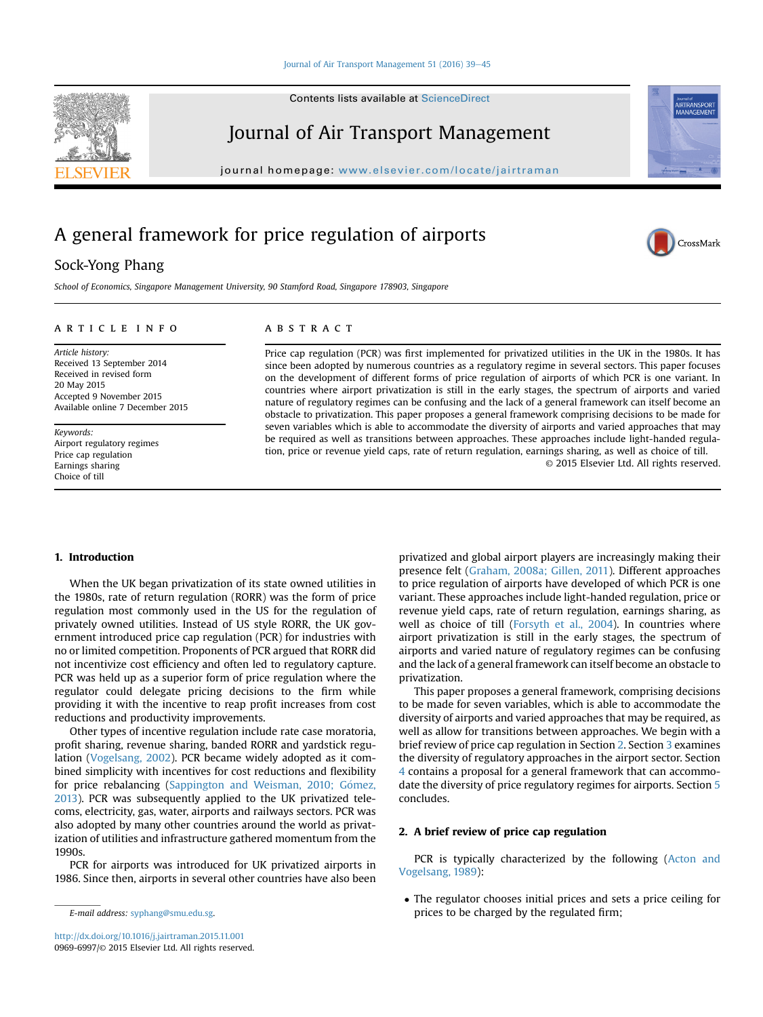#### [Journal of Air Transport Management 51 \(2016\) 39](http://dx.doi.org/10.1016/j.jairtraman.2015.11.001)-[45](http://dx.doi.org/10.1016/j.jairtraman.2015.11.001)

Contents lists available at ScienceDirect

# Journal of Air Transport Management

journal homepage: [www.elsevier.com/locate/jairtraman](http://www.elsevier.com/locate/jairtraman)

# A general framework for price regulation of airports

# Sock-Yong Phang

School of Economics, Singapore Management University, 90 Stamford Road, Singapore 178903, Singapore

#### article info

Article history: Received 13 September 2014 Received in revised form 20 May 2015 Accepted 9 November 2015 Available online 7 December 2015

Keywords: Airport regulatory regimes Price cap regulation Earnings sharing Choice of till

# **ABSTRACT**

Price cap regulation (PCR) was first implemented for privatized utilities in the UK in the 1980s. It has since been adopted by numerous countries as a regulatory regime in several sectors. This paper focuses on the development of different forms of price regulation of airports of which PCR is one variant. In countries where airport privatization is still in the early stages, the spectrum of airports and varied nature of regulatory regimes can be confusing and the lack of a general framework can itself become an obstacle to privatization. This paper proposes a general framework comprising decisions to be made for seven variables which is able to accommodate the diversity of airports and varied approaches that may be required as well as transitions between approaches. These approaches include light-handed regulation, price or revenue yield caps, rate of return regulation, earnings sharing, as well as choice of till. © 2015 Elsevier Ltd. All rights reserved.

# 1. Introduction

When the UK began privatization of its state owned utilities in the 1980s, rate of return regulation (RORR) was the form of price regulation most commonly used in the US for the regulation of privately owned utilities. Instead of US style RORR, the UK government introduced price cap regulation (PCR) for industries with no or limited competition. Proponents of PCR argued that RORR did not incentivize cost efficiency and often led to regulatory capture. PCR was held up as a superior form of price regulation where the regulator could delegate pricing decisions to the firm while providing it with the incentive to reap profit increases from cost reductions and productivity improvements.

Other types of incentive regulation include rate case moratoria, profit sharing, revenue sharing, banded RORR and yardstick regulation ([Vogelsang, 2002](#page-6-0)). PCR became widely adopted as it combined simplicity with incentives for cost reductions and flexibility for price rebalancing [\(Sappington and Weisman, 2010; G](#page-6-0)ó[mez,](#page-6-0) [2013\)](#page-6-0). PCR was subsequently applied to the UK privatized telecoms, electricity, gas, water, airports and railways sectors. PCR was also adopted by many other countries around the world as privatization of utilities and infrastructure gathered momentum from the 1990s.

PCR for airports was introduced for UK privatized airports in 1986. Since then, airports in several other countries have also been

<http://dx.doi.org/10.1016/j.jairtraman.2015.11.001> 0969-6997/© 2015 Elsevier Ltd. All rights reserved. privatized and global airport players are increasingly making their presence felt [\(Graham, 2008a; Gillen, 2011](#page-6-0)). Different approaches to price regulation of airports have developed of which PCR is one variant. These approaches include light-handed regulation, price or revenue yield caps, rate of return regulation, earnings sharing, as well as choice of till ([Forsyth et al., 2004\)](#page-6-0). In countries where airport privatization is still in the early stages, the spectrum of airports and varied nature of regulatory regimes can be confusing and the lack of a general framework can itself become an obstacle to privatization. This paper proposes a general framework, comprising decisions

to be made for seven variables, which is able to accommodate the diversity of airports and varied approaches that may be required, as well as allow for transitions between approaches. We begin with a brief review of price cap regulation in Section 2. Section [3](#page-1-0) examines the diversity of regulatory approaches in the airport sector. Section [4](#page-3-0) contains a proposal for a general framework that can accommodate the diversity of price regulatory regimes for airports. Section [5](#page-5-0) concludes.

# 2. A brief review of price cap regulation

PCR is typically characterized by the following ([Acton and](#page-6-0) [Vogelsang, 1989](#page-6-0)):

 The regulator chooses initial prices and sets a price ceiling for E-mail address: [syphang@smu.edu.sg](mailto:syphang@smu.edu.sg). **prices to be charged by the regulated firm**;





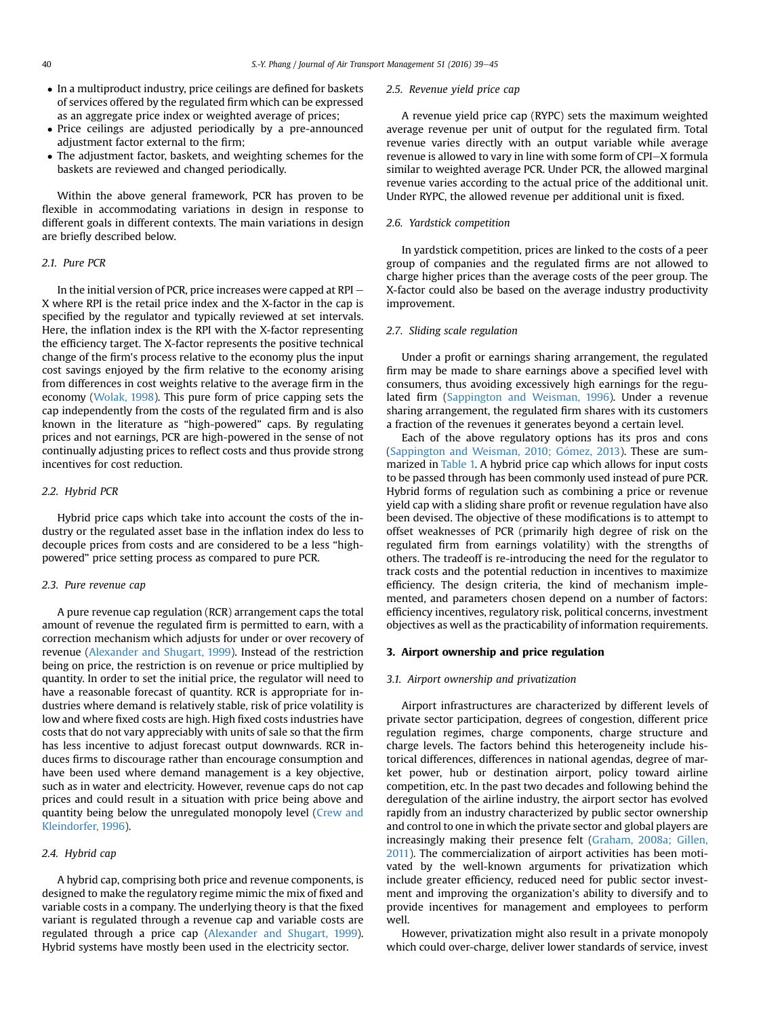- <span id="page-1-0"></span>• In a multiproduct industry, price ceilings are defined for baskets of services offered by the regulated firm which can be expressed as an aggregate price index or weighted average of prices;
- Price ceilings are adjusted periodically by a pre-announced adjustment factor external to the firm:
- The adjustment factor, baskets, and weighting schemes for the baskets are reviewed and changed periodically.

Within the above general framework, PCR has proven to be flexible in accommodating variations in design in response to different goals in different contexts. The main variations in design are briefly described below.

#### 2.1. Pure PCR

In the initial version of PCR, price increases were capped at  $RPI -$ X where RPI is the retail price index and the X-factor in the cap is specified by the regulator and typically reviewed at set intervals. Here, the inflation index is the RPI with the X-factor representing the efficiency target. The X-factor represents the positive technical change of the firm's process relative to the economy plus the input cost savings enjoyed by the firm relative to the economy arising from differences in cost weights relative to the average firm in the economy [\(Wolak, 1998](#page-6-0)). This pure form of price capping sets the cap independently from the costs of the regulated firm and is also known in the literature as "high-powered" caps. By regulating prices and not earnings, PCR are high-powered in the sense of not continually adjusting prices to reflect costs and thus provide strong incentives for cost reduction.

# 2.2. Hybrid PCR

Hybrid price caps which take into account the costs of the industry or the regulated asset base in the inflation index do less to decouple prices from costs and are considered to be a less "highpowered" price setting process as compared to pure PCR.

#### 2.3. Pure revenue cap

A pure revenue cap regulation (RCR) arrangement caps the total amount of revenue the regulated firm is permitted to earn, with a correction mechanism which adjusts for under or over recovery of revenue [\(Alexander and Shugart, 1999](#page-6-0)). Instead of the restriction being on price, the restriction is on revenue or price multiplied by quantity. In order to set the initial price, the regulator will need to have a reasonable forecast of quantity. RCR is appropriate for industries where demand is relatively stable, risk of price volatility is low and where fixed costs are high. High fixed costs industries have costs that do not vary appreciably with units of sale so that the firm has less incentive to adjust forecast output downwards. RCR induces firms to discourage rather than encourage consumption and have been used where demand management is a key objective, such as in water and electricity. However, revenue caps do not cap prices and could result in a situation with price being above and quantity being below the unregulated monopoly level [\(Crew and](#page-6-0) [Kleindorfer, 1996](#page-6-0)).

#### 2.4. Hybrid cap

A hybrid cap, comprising both price and revenue components, is designed to make the regulatory regime mimic the mix of fixed and variable costs in a company. The underlying theory is that the fixed variant is regulated through a revenue cap and variable costs are regulated through a price cap ([Alexander and Shugart, 1999\)](#page-6-0). Hybrid systems have mostly been used in the electricity sector.

#### 2.5. Revenue yield price cap

A revenue yield price cap (RYPC) sets the maximum weighted average revenue per unit of output for the regulated firm. Total revenue varies directly with an output variable while average revenue is allowed to vary in line with some form of CPI-X formula similar to weighted average PCR. Under PCR, the allowed marginal revenue varies according to the actual price of the additional unit. Under RYPC, the allowed revenue per additional unit is fixed.

#### 2.6. Yardstick competition

In yardstick competition, prices are linked to the costs of a peer group of companies and the regulated firms are not allowed to charge higher prices than the average costs of the peer group. The X-factor could also be based on the average industry productivity improvement.

# 2.7. Sliding scale regulation

Under a profit or earnings sharing arrangement, the regulated firm may be made to share earnings above a specified level with consumers, thus avoiding excessively high earnings for the regulated firm [\(Sappington and Weisman, 1996\)](#page-6-0). Under a revenue sharing arrangement, the regulated firm shares with its customers a fraction of the revenues it generates beyond a certain level.

Each of the above regulatory options has its pros and cons ([Sappington and Weisman, 2010; G](#page-6-0)ó[mez, 2013](#page-6-0)). These are summarized in [Table 1.](#page-2-0) A hybrid price cap which allows for input costs to be passed through has been commonly used instead of pure PCR. Hybrid forms of regulation such as combining a price or revenue yield cap with a sliding share profit or revenue regulation have also been devised. The objective of these modifications is to attempt to offset weaknesses of PCR (primarily high degree of risk on the regulated firm from earnings volatility) with the strengths of others. The tradeoff is re-introducing the need for the regulator to track costs and the potential reduction in incentives to maximize efficiency. The design criteria, the kind of mechanism implemented, and parameters chosen depend on a number of factors: efficiency incentives, regulatory risk, political concerns, investment objectives as well as the practicability of information requirements.

#### 3. Airport ownership and price regulation

#### 3.1. Airport ownership and privatization

Airport infrastructures are characterized by different levels of private sector participation, degrees of congestion, different price regulation regimes, charge components, charge structure and charge levels. The factors behind this heterogeneity include historical differences, differences in national agendas, degree of market power, hub or destination airport, policy toward airline competition, etc. In the past two decades and following behind the deregulation of the airline industry, the airport sector has evolved rapidly from an industry characterized by public sector ownership and control to one in which the private sector and global players are increasingly making their presence felt [\(Graham, 2008a; Gillen,](#page-6-0) [2011\)](#page-6-0). The commercialization of airport activities has been motivated by the well-known arguments for privatization which include greater efficiency, reduced need for public sector investment and improving the organization's ability to diversify and to provide incentives for management and employees to perform well.

However, privatization might also result in a private monopoly which could over-charge, deliver lower standards of service, invest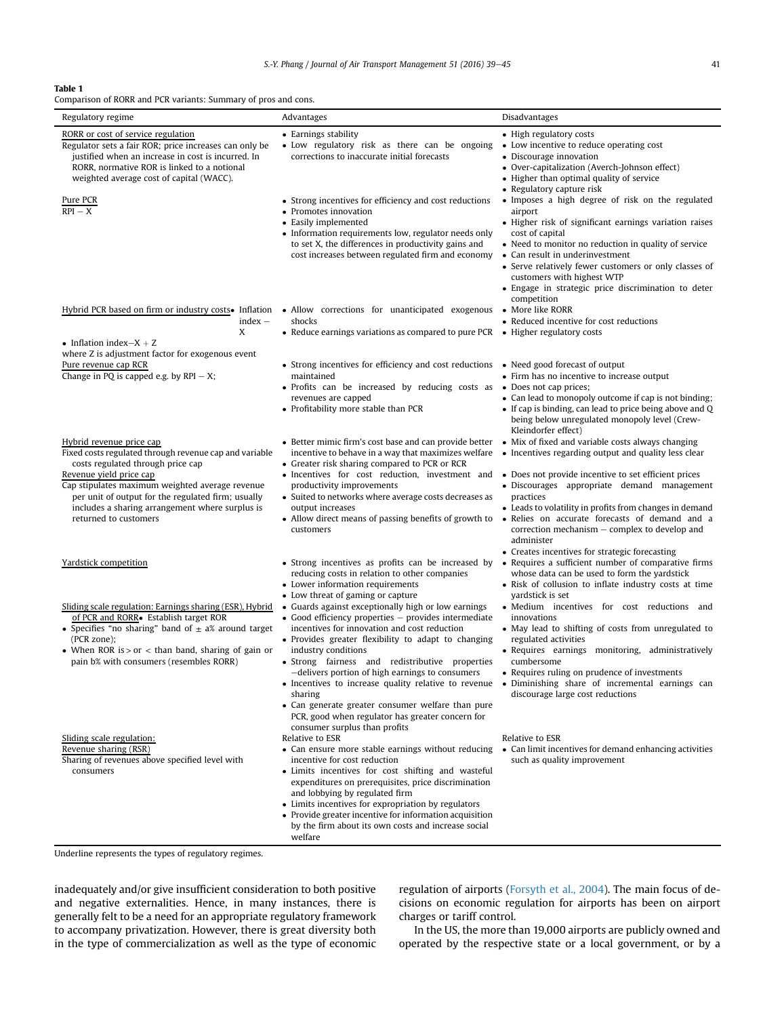# <span id="page-2-0"></span>Table 1

Comparison of RORR and PCR variants: Summary of pros and cons.

| Regulatory regime                                                                                                                                                                                                                                                                                                                       | Advantages                                                                                                                                                                                                                                                                                                                                                                                                                                                                                                                                                                                                                                            | Disadvantages                                                                                                                                                                                                                                                                                                                                                                                                                                                                                                                                                                                                                                 |
|-----------------------------------------------------------------------------------------------------------------------------------------------------------------------------------------------------------------------------------------------------------------------------------------------------------------------------------------|-------------------------------------------------------------------------------------------------------------------------------------------------------------------------------------------------------------------------------------------------------------------------------------------------------------------------------------------------------------------------------------------------------------------------------------------------------------------------------------------------------------------------------------------------------------------------------------------------------------------------------------------------------|-----------------------------------------------------------------------------------------------------------------------------------------------------------------------------------------------------------------------------------------------------------------------------------------------------------------------------------------------------------------------------------------------------------------------------------------------------------------------------------------------------------------------------------------------------------------------------------------------------------------------------------------------|
| RORR or cost of service regulation<br>Regulator sets a fair ROR; price increases can only be<br>justified when an increase in cost is incurred. In<br>RORR, normative ROR is linked to a notional<br>weighted average cost of capital (WACC).                                                                                           | • Earnings stability<br>· Low regulatory risk as there can be ongoing<br>corrections to inaccurate initial forecasts                                                                                                                                                                                                                                                                                                                                                                                                                                                                                                                                  | • High regulatory costs<br>• Low incentive to reduce operating cost<br>• Discourage innovation<br>• Over-capitalization (Averch-Johnson effect)<br>• Higher than optimal quality of service<br>• Regulatory capture risk                                                                                                                                                                                                                                                                                                                                                                                                                      |
| Pure PCR<br>$RPI - X$                                                                                                                                                                                                                                                                                                                   | • Strong incentives for efficiency and cost reductions<br>• Promotes innovation<br>• Easily implemented<br>• Information requirements low, regulator needs only<br>to set X, the differences in productivity gains and<br>cost increases between regulated firm and economy                                                                                                                                                                                                                                                                                                                                                                           | • Imposes a high degree of risk on the regulated<br>airport<br>• Higher risk of significant earnings variation raises<br>cost of capital<br>• Need to monitor no reduction in quality of service<br>• Can result in underinvestment<br>• Serve relatively fewer customers or only classes of<br>customers with highest WTP<br>• Engage in strategic price discrimination to deter<br>competition                                                                                                                                                                                                                                              |
| Hybrid PCR based on firm or industry costs. Inflation<br>$index -$<br>X<br>• Inflation index $-X + Z$                                                                                                                                                                                                                                   | • Allow corrections for unanticipated exogenous<br>shocks<br>$\bullet\,$ Reduce earnings variations as compared to pure PCR                                                                                                                                                                                                                                                                                                                                                                                                                                                                                                                           | • More like RORR<br>• Reduced incentive for cost reductions<br>• Higher regulatory costs                                                                                                                                                                                                                                                                                                                                                                                                                                                                                                                                                      |
| where Z is adjustment factor for exogenous event<br>Pure revenue cap RCR<br>Change in PQ is capped e.g. by $RPI - X$ ;                                                                                                                                                                                                                  | • Strong incentives for efficiency and cost reductions<br>maintained<br>• Profits can be increased by reducing costs as<br>revenues are capped<br>• Profitability more stable than PCR                                                                                                                                                                                                                                                                                                                                                                                                                                                                | • Need good forecast of output<br>• Firm has no incentive to increase output<br>• Does not cap prices;<br>• Can lead to monopoly outcome if cap is not binding;<br>• If cap is binding, can lead to price being above and Q<br>being below unregulated monopoly level (Crew-<br>Kleindorfer effect)                                                                                                                                                                                                                                                                                                                                           |
| Hybrid revenue price cap<br>Fixed costs regulated through revenue cap and variable<br>costs regulated through price cap<br>Revenue yield price cap<br>Cap stipulates maximum weighted average revenue<br>per unit of output for the regulated firm; usually<br>includes a sharing arrangement where surplus is<br>returned to customers | • Better mimic firm's cost base and can provide better • Mix of fixed and variable costs always changing<br>• Greater risk sharing compared to PCR or RCR<br>• Incentives for cost reduction, investment and • Does not provide incentive to set efficient prices<br>productivity improvements<br>• Suited to networks where average costs decreases as<br>output increases<br>customers                                                                                                                                                                                                                                                              | incentive to behave in a way that maximizes welfare • Incentives regarding output and quality less clear<br>• Discourages appropriate demand management<br>practices<br>• Leads to volatility in profits from changes in demand<br>• Allow direct means of passing benefits of growth to • Relies on accurate forecasts of demand and a<br>correction mechanism - complex to develop and<br>administer                                                                                                                                                                                                                                        |
| Yardstick competition<br>Sliding scale regulation: Earnings sharing (ESR), Hybrid<br>of PCR and RORR. Establish target ROR<br>• Specifies "no sharing" band of $\pm$ a% around target<br>(PCR zone);<br>• When ROR $is > or < than$ band, sharing of gain or<br>pain b% with consumers (resembles RORR)                                 | • Strong incentives as profits can be increased by<br>reducing costs in relation to other companies<br>• Lower information requirements<br>• Low threat of gaming or capture<br>• Guards against exceptionally high or low earnings<br>• Good efficiency properties $-$ provides intermediate<br>incentives for innovation and cost reduction<br>• Provides greater flexibility to adapt to changing<br>industry conditions<br>• Strong fairness and redistributive properties<br>-delivers portion of high earnings to consumers<br>sharing<br>• Can generate greater consumer welfare than pure<br>PCR, good when regulator has greater concern for | • Creates incentives for strategic forecasting<br>• Requires a sufficient number of comparative firms<br>whose data can be used to form the yardstick<br>• Risk of collusion to inflate industry costs at time<br>yardstick is set<br>• Medium incentives for cost reductions and<br>innovations<br>• May lead to shifting of costs from unregulated to<br>regulated activities<br>• Requires earnings monitoring, administratively<br>cumbersome<br>• Requires ruling on prudence of investments<br>• Incentives to increase quality relative to revenue • Diminishing share of incremental earnings can<br>discourage large cost reductions |
| Sliding scale regulation:<br>Revenue sharing (RSR)<br>Sharing of revenues above specified level with<br>consumers                                                                                                                                                                                                                       | consumer surplus than profits<br>Relative to ESR<br>• Can ensure more stable earnings without reducing<br>incentive for cost reduction<br>• Limits incentives for cost shifting and wasteful<br>expenditures on prerequisites, price discrimination<br>and lobbying by regulated firm<br>• Limits incentives for expropriation by regulators<br>• Provide greater incentive for information acquisition<br>by the firm about its own costs and increase social                                                                                                                                                                                        | Relative to ESR<br>• Can limit incentives for demand enhancing activities<br>such as quality improvement                                                                                                                                                                                                                                                                                                                                                                                                                                                                                                                                      |

Underline represents the types of regulatory regimes.

inadequately and/or give insufficient consideration to both positive and negative externalities. Hence, in many instances, there is generally felt to be a need for an appropriate regulatory framework to accompany privatization. However, there is great diversity both in the type of commercialization as well as the type of economic

welfare

regulation of airports [\(Forsyth et al., 2004\)](#page-6-0). The main focus of decisions on economic regulation for airports has been on airport charges or tariff control.

In the US, the more than 19,000 airports are publicly owned and operated by the respective state or a local government, or by a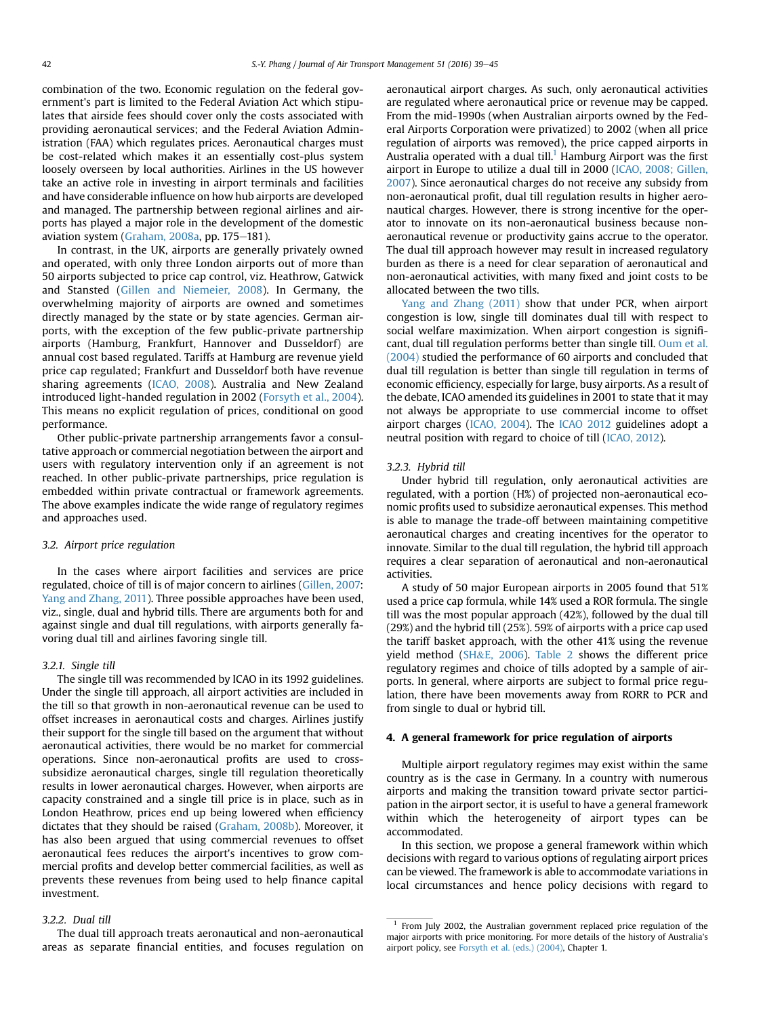<span id="page-3-0"></span>combination of the two. Economic regulation on the federal government's part is limited to the Federal Aviation Act which stipulates that airside fees should cover only the costs associated with providing aeronautical services; and the Federal Aviation Administration (FAA) which regulates prices. Aeronautical charges must be cost-related which makes it an essentially cost-plus system loosely overseen by local authorities. Airlines in the US however take an active role in investing in airport terminals and facilities and have considerable influence on how hub airports are developed and managed. The partnership between regional airlines and airports has played a major role in the development of the domestic aviation system (Graham,  $2008a$ , pp. 175–181).

In contrast, in the UK, airports are generally privately owned and operated, with only three London airports out of more than 50 airports subjected to price cap control, viz. Heathrow, Gatwick and Stansted [\(Gillen and Niemeier, 2008](#page-6-0)). In Germany, the overwhelming majority of airports are owned and sometimes directly managed by the state or by state agencies. German airports, with the exception of the few public-private partnership airports (Hamburg, Frankfurt, Hannover and Dusseldorf) are annual cost based regulated. Tariffs at Hamburg are revenue yield price cap regulated; Frankfurt and Dusseldorf both have revenue sharing agreements ([ICAO, 2008\)](#page-6-0). Australia and New Zealand introduced light-handed regulation in 2002 ([Forsyth et al., 2004\)](#page-6-0). This means no explicit regulation of prices, conditional on good performance.

Other public-private partnership arrangements favor a consultative approach or commercial negotiation between the airport and users with regulatory intervention only if an agreement is not reached. In other public-private partnerships, price regulation is embedded within private contractual or framework agreements. The above examples indicate the wide range of regulatory regimes and approaches used.

#### 3.2. Airport price regulation

In the cases where airport facilities and services are price regulated, choice of till is of major concern to airlines [\(Gillen, 2007:](#page-6-0) [Yang and Zhang, 2011\)](#page-6-0). Three possible approaches have been used, viz., single, dual and hybrid tills. There are arguments both for and against single and dual till regulations, with airports generally favoring dual till and airlines favoring single till.

#### 3.2.1. Single till

The single till was recommended by ICAO in its 1992 guidelines. Under the single till approach, all airport activities are included in the till so that growth in non-aeronautical revenue can be used to offset increases in aeronautical costs and charges. Airlines justify their support for the single till based on the argument that without aeronautical activities, there would be no market for commercial operations. Since non-aeronautical profits are used to crosssubsidize aeronautical charges, single till regulation theoretically results in lower aeronautical charges. However, when airports are capacity constrained and a single till price is in place, such as in London Heathrow, prices end up being lowered when efficiency dictates that they should be raised [\(Graham, 2008b\)](#page-6-0). Moreover, it has also been argued that using commercial revenues to offset aeronautical fees reduces the airport's incentives to grow commercial profits and develop better commercial facilities, as well as prevents these revenues from being used to help finance capital investment.

# 3.2.2. Dual till

The dual till approach treats aeronautical and non-aeronautical areas as separate financial entities, and focuses regulation on aeronautical airport charges. As such, only aeronautical activities are regulated where aeronautical price or revenue may be capped. From the mid-1990s (when Australian airports owned by the Federal Airports Corporation were privatized) to 2002 (when all price regulation of airports was removed), the price capped airports in Australia operated with a dual till.<sup>1</sup> Hamburg Airport was the first airport in Europe to utilize a dual till in 2000 ([ICAO, 2008; Gillen,](#page-6-0) [2007\)](#page-6-0). Since aeronautical charges do not receive any subsidy from non-aeronautical profit, dual till regulation results in higher aeronautical charges. However, there is strong incentive for the operator to innovate on its non-aeronautical business because nonaeronautical revenue or productivity gains accrue to the operator. The dual till approach however may result in increased regulatory burden as there is a need for clear separation of aeronautical and non-aeronautical activities, with many fixed and joint costs to be allocated between the two tills.

[Yang and Zhang \(2011\)](#page-6-0) show that under PCR, when airport congestion is low, single till dominates dual till with respect to social welfare maximization. When airport congestion is significant, dual till regulation performs better than single till. [Oum et al.](#page-6-0) [\(2004\)](#page-6-0) studied the performance of 60 airports and concluded that dual till regulation is better than single till regulation in terms of economic efficiency, especially for large, busy airports. As a result of the debate, ICAO amended its guidelines in 2001 to state that it may not always be appropriate to use commercial income to offset airport charges ([ICAO, 2004](#page-6-0)). The [ICAO 2012](#page-6-0) guidelines adopt a neutral position with regard to choice of till ([ICAO, 2012\)](#page-6-0).

#### 3.2.3. Hybrid till

Under hybrid till regulation, only aeronautical activities are regulated, with a portion (H%) of projected non-aeronautical economic profits used to subsidize aeronautical expenses. This method is able to manage the trade-off between maintaining competitive aeronautical charges and creating incentives for the operator to innovate. Similar to the dual till regulation, the hybrid till approach requires a clear separation of aeronautical and non-aeronautical activities.

A study of 50 major European airports in 2005 found that 51% used a price cap formula, while 14% used a ROR formula. The single till was the most popular approach (42%), followed by the dual till (29%) and the hybrid till (25%). 59% of airports with a price cap used the tariff basket approach, with the other 41% using the revenue yield method ([SH](#page-6-0)&[E, 2006\)](#page-6-0). [Table 2](#page-4-0) shows the different price regulatory regimes and choice of tills adopted by a sample of airports. In general, where airports are subject to formal price regulation, there have been movements away from RORR to PCR and from single to dual or hybrid till.

#### 4. A general framework for price regulation of airports

Multiple airport regulatory regimes may exist within the same country as is the case in Germany. In a country with numerous airports and making the transition toward private sector participation in the airport sector, it is useful to have a general framework within which the heterogeneity of airport types can be accommodated.

In this section, we propose a general framework within which decisions with regard to various options of regulating airport prices can be viewed. The framework is able to accommodate variations in local circumstances and hence policy decisions with regard to

 $1$  From July 2002, the Australian government replaced price regulation of the major airports with price monitoring. For more details of the history of Australia's airport policy, see [Forsyth et al. \(eds.\) \(2004\),](#page-6-0) Chapter 1.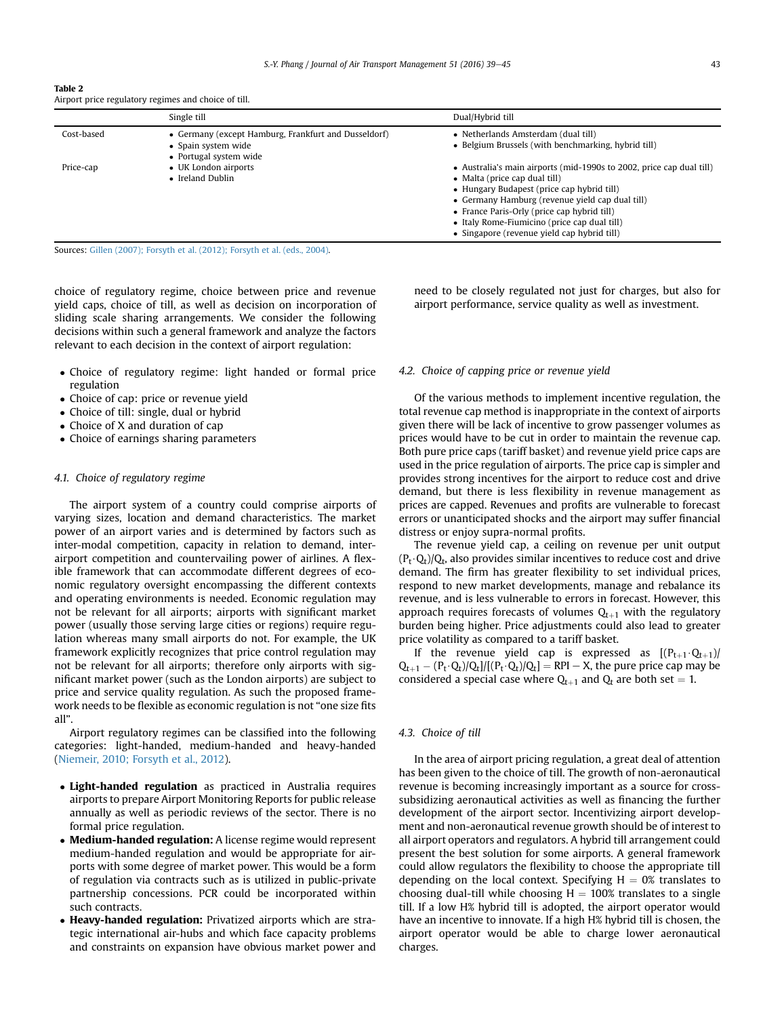<span id="page-4-0"></span>

| Table 2                                              |  |
|------------------------------------------------------|--|
| Airport price regulatory regimes and choice of till. |  |

|            | Single till                                                                                           | Dual/Hybrid till                                                                                                                                                                                                                                                                                                                                     |
|------------|-------------------------------------------------------------------------------------------------------|------------------------------------------------------------------------------------------------------------------------------------------------------------------------------------------------------------------------------------------------------------------------------------------------------------------------------------------------------|
| Cost-based | • Germany (except Hamburg, Frankfurt and Dusseldorf)<br>• Spain system wide<br>• Portugal system wide | • Netherlands Amsterdam (dual till)<br>• Belgium Brussels (with benchmarking, hybrid till)                                                                                                                                                                                                                                                           |
| Price-cap  | • UK London airports<br>• Ireland Dublin                                                              | • Australia's main airports (mid-1990s to 2002, price cap dual till)<br>• Malta (price cap dual till)<br>• Hungary Budapest (price cap hybrid till)<br>• Germany Hamburg (revenue yield cap dual till)<br>• France Paris-Orly (price cap hybrid till)<br>• Italy Rome-Fiumicino (price cap dual till)<br>• Singapore (revenue yield cap hybrid till) |

Sources: [Gillen \(2007\); Forsyth et al. \(2012\); Forsyth et al. \(eds., 2004\)](#page-6-0).

choice of regulatory regime, choice between price and revenue yield caps, choice of till, as well as decision on incorporation of sliding scale sharing arrangements. We consider the following decisions within such a general framework and analyze the factors relevant to each decision in the context of airport regulation:

- Choice of regulatory regime: light handed or formal price regulation
- Choice of cap: price or revenue yield
- Choice of till: single, dual or hybrid
- Choice of X and duration of cap
- Choice of earnings sharing parameters

# 4.1. Choice of regulatory regime

The airport system of a country could comprise airports of varying sizes, location and demand characteristics. The market power of an airport varies and is determined by factors such as inter-modal competition, capacity in relation to demand, interairport competition and countervailing power of airlines. A flexible framework that can accommodate different degrees of economic regulatory oversight encompassing the different contexts and operating environments is needed. Economic regulation may not be relevant for all airports; airports with significant market power (usually those serving large cities or regions) require regulation whereas many small airports do not. For example, the UK framework explicitly recognizes that price control regulation may not be relevant for all airports; therefore only airports with significant market power (such as the London airports) are subject to price and service quality regulation. As such the proposed framework needs to be flexible as economic regulation is not "one size fits all".

Airport regulatory regimes can be classified into the following categories: light-handed, medium-handed and heavy-handed ([Niemeir, 2010; Forsyth et al., 2012](#page-6-0)).

- Light-handed regulation as practiced in Australia requires airports to prepare Airport Monitoring Reports for public release annually as well as periodic reviews of the sector. There is no formal price regulation.
- Medium-handed regulation: A license regime would represent medium-handed regulation and would be appropriate for airports with some degree of market power. This would be a form of regulation via contracts such as is utilized in public-private partnership concessions. PCR could be incorporated within such contracts.
- Heavy-handed regulation: Privatized airports which are strategic international air-hubs and which face capacity problems and constraints on expansion have obvious market power and

need to be closely regulated not just for charges, but also for airport performance, service quality as well as investment.

# 4.2. Choice of capping price or revenue yield

Of the various methods to implement incentive regulation, the total revenue cap method is inappropriate in the context of airports given there will be lack of incentive to grow passenger volumes as prices would have to be cut in order to maintain the revenue cap. Both pure price caps (tariff basket) and revenue yield price caps are used in the price regulation of airports. The price cap is simpler and provides strong incentives for the airport to reduce cost and drive demand, but there is less flexibility in revenue management as prices are capped. Revenues and profits are vulnerable to forecast errors or unanticipated shocks and the airport may suffer financial distress or enjoy supra-normal profits.

The revenue yield cap, a ceiling on revenue per unit output  $(P_t \cdot Q_t)/Q_t$ , also provides similar incentives to reduce cost and drive demand. The firm has greater flexibility to set individual prices, respond to new market developments, manage and rebalance its revenue, and is less vulnerable to errors in forecast. However, this approach requires forecasts of volumes  $Q_{t+1}$  with the regulatory burden being higher. Price adjustments could also lead to greater price volatility as compared to a tariff basket.

If the revenue yield cap is expressed as  $[(P_{t+1} \cdot Q_{t+1})]$  $Q_{t+1} - (P_t \cdot Q_t)/Q_t]/[(P_t \cdot Q_t)/Q_t] = RPI - X$ , the pure price cap may be considered a special case where  $Q_{t+1}$  and  $Q_t$  are both set = 1.

# 4.3. Choice of till

In the area of airport pricing regulation, a great deal of attention has been given to the choice of till. The growth of non-aeronautical revenue is becoming increasingly important as a source for crosssubsidizing aeronautical activities as well as financing the further development of the airport sector. Incentivizing airport development and non-aeronautical revenue growth should be of interest to all airport operators and regulators. A hybrid till arrangement could present the best solution for some airports. A general framework could allow regulators the flexibility to choose the appropriate till depending on the local context. Specifying  $H = 0\%$  translates to choosing dual-till while choosing  $H = 100\%$  translates to a single till. If a low H% hybrid till is adopted, the airport operator would have an incentive to innovate. If a high H% hybrid till is chosen, the airport operator would be able to charge lower aeronautical charges.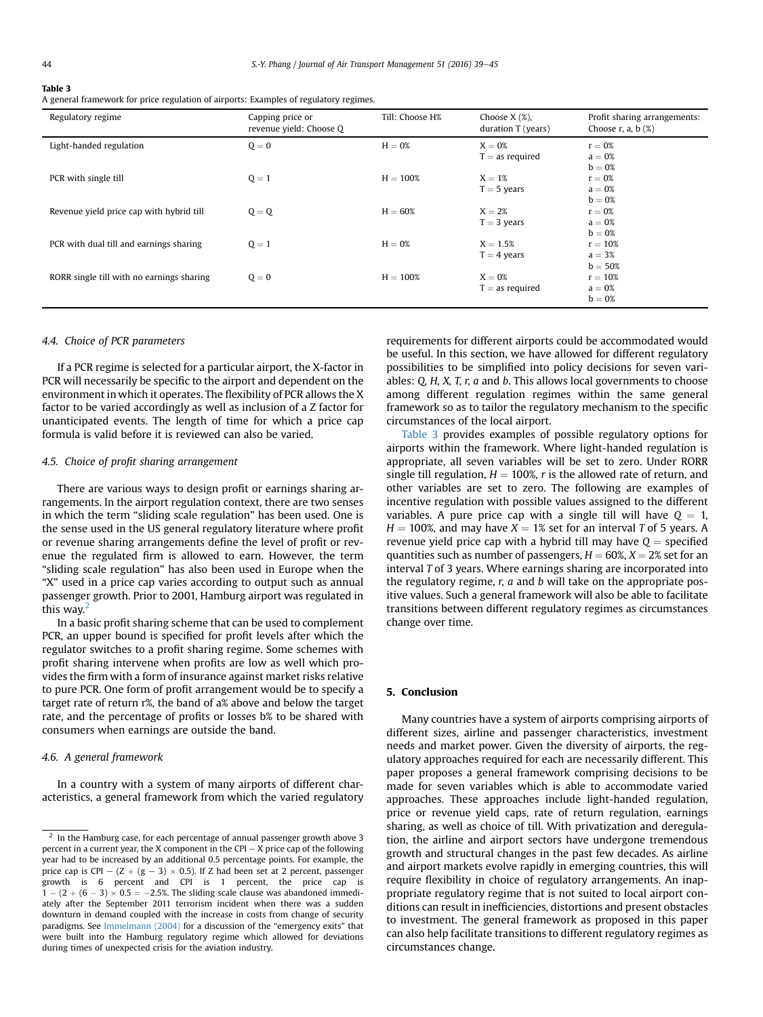<span id="page-5-0"></span>

A general framework for price regulation of airports: Examples of regulatory regimes.

| Regulatory regime                         | Capping price or<br>revenue yield: Choose Q | Till: Choose H% | Choose $X(\%)$ ,<br>duration T (years) | Profit sharing arrangements:<br>Choose r, a, $b$ $(\%)$ |
|-------------------------------------------|---------------------------------------------|-----------------|----------------------------------------|---------------------------------------------------------|
| Light-handed regulation                   | $Q = 0$                                     | $H = 0%$        | $X = 0\%$<br>$T =$ as required         | $r = 0\%$<br>$a = 0\%$<br>$b = 0%$                      |
| PCR with single till                      | $Q = 1$                                     | $H = 100%$      | $X = 1\%$<br>$T = 5$ years             | $r = 0\%$<br>$a = 0\%$<br>$b = 0%$                      |
| Revenue yield price cap with hybrid till  | $Q = Q$                                     | $H = 60%$       | $X = 2\%$<br>$T = 3$ years             | $r = 0\%$<br>$a = 0%$<br>$b = 0%$                       |
| PCR with dual till and earnings sharing   | $Q = 1$                                     | $H = 0%$        | $X = 1.5%$<br>$T = 4$ years            | $r = 10\%$<br>$a = 3%$<br>$b = 50%$                     |
| RORR single till with no earnings sharing | $Q = 0$                                     | $H = 100%$      | $X = 0\%$<br>$T =$ as required         | $r = 10%$<br>$a = 0%$<br>$b = 0%$                       |

#### 4.4. Choice of PCR parameters

If a PCR regime is selected for a particular airport, the X-factor in PCR will necessarily be specific to the airport and dependent on the environment in which it operates. The flexibility of PCR allows the X factor to be varied accordingly as well as inclusion of a Z factor for unanticipated events. The length of time for which a price cap formula is valid before it is reviewed can also be varied.

# 4.5. Choice of profit sharing arrangement

There are various ways to design profit or earnings sharing arrangements. In the airport regulation context, there are two senses in which the term "sliding scale regulation" has been used. One is the sense used in the US general regulatory literature where profit or revenue sharing arrangements define the level of profit or revenue the regulated firm is allowed to earn. However, the term "sliding scale regulation" has also been used in Europe when the "X" used in a price cap varies according to output such as annual passenger growth. Prior to 2001, Hamburg airport was regulated in this way. $^2$ 

In a basic profit sharing scheme that can be used to complement PCR, an upper bound is specified for profit levels after which the regulator switches to a profit sharing regime. Some schemes with profit sharing intervene when profits are low as well which provides the firm with a form of insurance against market risks relative to pure PCR. One form of profit arrangement would be to specify a target rate of return r%, the band of a% above and below the target rate, and the percentage of profits or losses b% to be shared with consumers when earnings are outside the band.

# 4.6. A general framework

In a country with a system of many airports of different characteristics, a general framework from which the varied regulatory requirements for different airports could be accommodated would be useful. In this section, we have allowed for different regulatory possibilities to be simplified into policy decisions for seven variables:  $Q$ ,  $H$ ,  $X$ ,  $T$ ,  $r$ ,  $a$  and  $b$ . This allows local governments to choose among different regulation regimes within the same general framework so as to tailor the regulatory mechanism to the specific circumstances of the local airport.

Table 3 provides examples of possible regulatory options for airports within the framework. Where light-handed regulation is appropriate, all seven variables will be set to zero. Under RORR single till regulation,  $H = 100\%$ , r is the allowed rate of return, and other variables are set to zero. The following are examples of incentive regulation with possible values assigned to the different variables. A pure price cap with a single till will have  $Q = 1$ ,  $H = 100\%$ , and may have  $X = 1\%$  set for an interval T of 5 years. A revenue yield price cap with a hybrid till may have  $Q =$  specified quantities such as number of passengers,  $H = 60\%$ ,  $X = 2\%$  set for an interval T of 3 years. Where earnings sharing are incorporated into the regulatory regime,  $r$ ,  $a$  and  $b$  will take on the appropriate positive values. Such a general framework will also be able to facilitate transitions between different regulatory regimes as circumstances change over time.

# 5. Conclusion

Many countries have a system of airports comprising airports of different sizes, airline and passenger characteristics, investment needs and market power. Given the diversity of airports, the regulatory approaches required for each are necessarily different. This paper proposes a general framework comprising decisions to be made for seven variables which is able to accommodate varied approaches. These approaches include light-handed regulation, price or revenue yield caps, rate of return regulation, earnings sharing, as well as choice of till. With privatization and deregulation, the airline and airport sectors have undergone tremendous growth and structural changes in the past few decades. As airline and airport markets evolve rapidly in emerging countries, this will require flexibility in choice of regulatory arrangements. An inappropriate regulatory regime that is not suited to local airport conditions can result in inefficiencies, distortions and present obstacles to investment. The general framework as proposed in this paper can also help facilitate transitions to different regulatory regimes as circumstances change.

 $^{2}$  In the Hamburg case, for each percentage of annual passenger growth above 3 percent in a current year, the X component in the CPI  $-$  X price cap of the following year had to be increased by an additional 0.5 percentage points. For example, the price cap is CPI –  $(Z + (g - 3) \times 0.5)$ . If Z had been set at 2 percent, passenger growth is 6 percent and CPI is 1 percent, the price cap is  $1 - (2 + (6 - 3) \times 0.5 = -2.5\%$ . The sliding scale clause was abandoned immediately after the September 2011 terrorism incident when there was a sudden downturn in demand coupled with the increase in costs from change of security paradigms. See [Immelmann \(2004\)](#page-6-0) for a discussion of the "emergency exits" that were built into the Hamburg regulatory regime which allowed for deviations during times of unexpected crisis for the aviation industry.